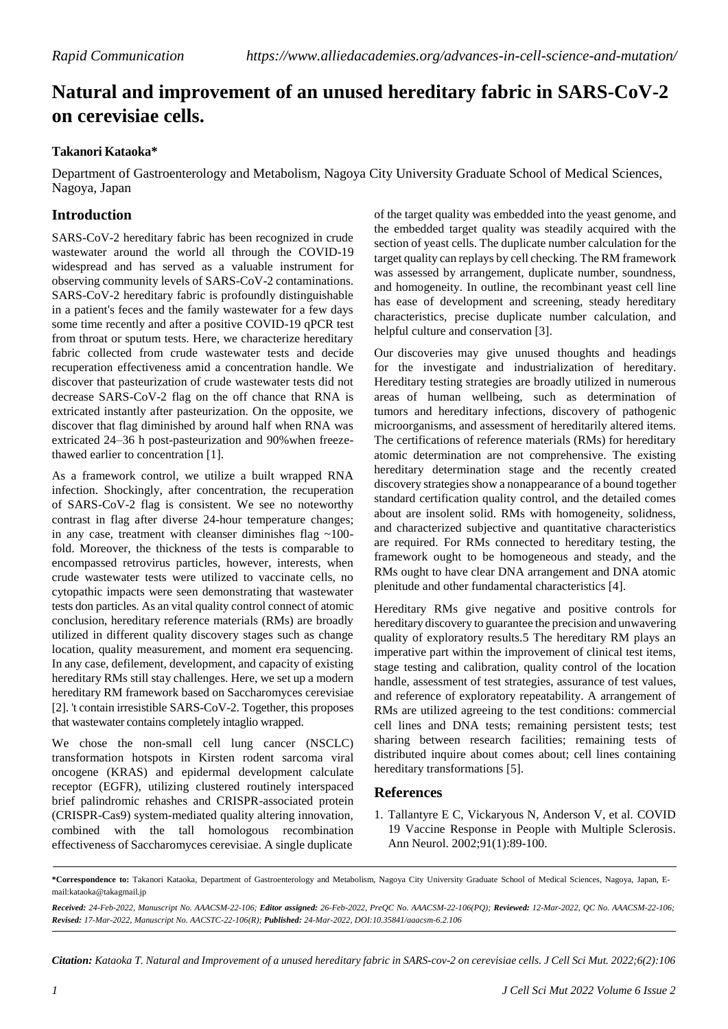## **Natural and improvement of an unused hereditary fabric in SARS-CoV-2 on cerevisiae cells.**

## **Takanori Kataoka\***

Department of Gastroenterology and Metabolism, Nagoya City University Graduate School of Medical Sciences, Nagoya, Japan

## **Introduction**

SARS-CoV-2 hereditary fabric has been recognized in crude wastewater around the world all through the COVID-19 widespread and has served as a valuable instrument for observing community levels of SARS-CoV-2 contaminations. SARS-CoV-2 hereditary fabric is profoundly distinguishable in a patient's feces and the family wastewater for a few days some time recently and after a positive COVID-19 qPCR test from throat or sputum tests. Here, we characterize hereditary fabric collected from crude wastewater tests and decide recuperation effectiveness amid a concentration handle. We discover that pasteurization of crude wastewater tests did not decrease SARS-CoV-2 flag on the off chance that RNA is extricated instantly after pasteurization. On the opposite, we discover that flag diminished by around half when RNA was extricated 24–36 h post-pasteurization and 90%when freezethawed earlier to concentration [1].

As a framework control, we utilize a built wrapped RNA infection. Shockingly, after concentration, the recuperation of SARS-CoV-2 flag is consistent. We see no noteworthy contrast in flag after diverse 24-hour temperature changes; in any case, treatment with cleanser diminishes flag ~100 fold. Moreover, the thickness of the tests is comparable to encompassed retrovirus particles, however, interests, when crude wastewater tests were utilized to vaccinate cells, no cytopathic impacts were seen demonstrating that wastewater tests don particles. As an vital quality control connect of atomic conclusion, hereditary reference materials (RMs) are broadly utilized in different quality discovery stages such as change location, quality measurement, and moment era sequencing. In any case, defilement, development, and capacity of existing hereditary RMs still stay challenges. Here, we set up a modern hereditary RM framework based on Saccharomyces cerevisiae [2]. 't contain irresistible SARS-CoV-2. Together, this proposes that wastewater contains completely intaglio wrapped.

We chose the non-small cell lung cancer (NSCLC) transformation hotspots in Kirsten rodent sarcoma viral oncogene (KRAS) and epidermal development calculate receptor (EGFR), utilizing clustered routinely interspaced brief palindromic rehashes and CRISPR-associated protein (CRISPR-Cas9) system-mediated quality altering innovation, combined with the tall homologous recombination effectiveness of Saccharomyces cerevisiae. A single duplicate

of the target quality was embedded into the yeast genome, and the embedded target quality was steadily acquired with the section of yeast cells. The duplicate number calculation for the target quality can replays by cell checking. The RM framework was assessed by arrangement, duplicate number, soundness, and homogeneity. In outline, the recombinant yeast cell line has ease of development and screening, steady hereditary characteristics, precise duplicate number calculation, and helpful culture and conservation [3].

Our discoveries may give unused thoughts and headings for the investigate and industrialization of hereditary. Hereditary testing strategies are broadly utilized in numerous areas of human wellbeing, such as determination of tumors and hereditary infections, discovery of pathogenic microorganisms, and assessment of hereditarily altered items. The certifications of reference materials (RMs) for hereditary atomic determination are not comprehensive. The existing hereditary determination stage and the recently created discovery strategies show a nonappearance of a bound together standard certification quality control, and the detailed comes about are insolent solid. RMs with homogeneity, solidness, and characterized subjective and quantitative characteristics are required. For RMs connected to hereditary testing, the framework ought to be homogeneous and steady, and the RMs ought to have clear DNA arrangement and DNA atomic plenitude and other fundamental characteristics [4].

Hereditary RMs give negative and positive controls for hereditary discovery to guarantee the precision and unwavering quality of exploratory results.5 The hereditary RM plays an imperative part within the improvement of clinical test items, stage testing and calibration, quality control of the location handle, assessment of test strategies, assurance of test values, and reference of exploratory repeatability. A arrangement of RMs are utilized agreeing to the test conditions: commercial cell lines and DNA tests; remaining persistent tests; test sharing between research facilities; remaining tests of distributed inquire about comes about; cell lines containing hereditary transformations [5].

## **References**

1. Tallantyre E C, Vickaryous N, Anderson V, et al. [COVID](https://onlinelibrary.wiley.com/doi/full/10.1002/ana.26251) [19 Vaccine Response in People with Multiple Sclerosis.](https://onlinelibrary.wiley.com/doi/full/10.1002/ana.26251) Ann Neurol. 2002;91(1):89-100.

Citation: Kataoka T. Natural and Improvement of a unused hereditary fabric in SARS-cov-2 on cerevisiae cells. J Cell Sci Mut. 2022;6(2):106

**<sup>\*</sup>Correspondence to:** Takanori Kataoka, Department of Gastroenterology and Metabolism, Nagoya City University Graduate School of Medical Sciences, Nagoya, Japan, E[mail:kataoka@takagmail.jp](mailto:kataoka@takagmail.jp)

Received: 24-Feb-2022, Manuscript No. AAACSM-22-106; Editor assigned: 26-Feb-2022, PreQC No. AAACSM-22-106(PQ); Reviewed: 12-Mar-2022, QC No. AAACSM-22-106; *Revised: 17-Mar-2022, Manuscript No. AACSTC-22-106(R); Published: 24-Mar-2022, DOI:10.35841/aaacsm-6.2.106*